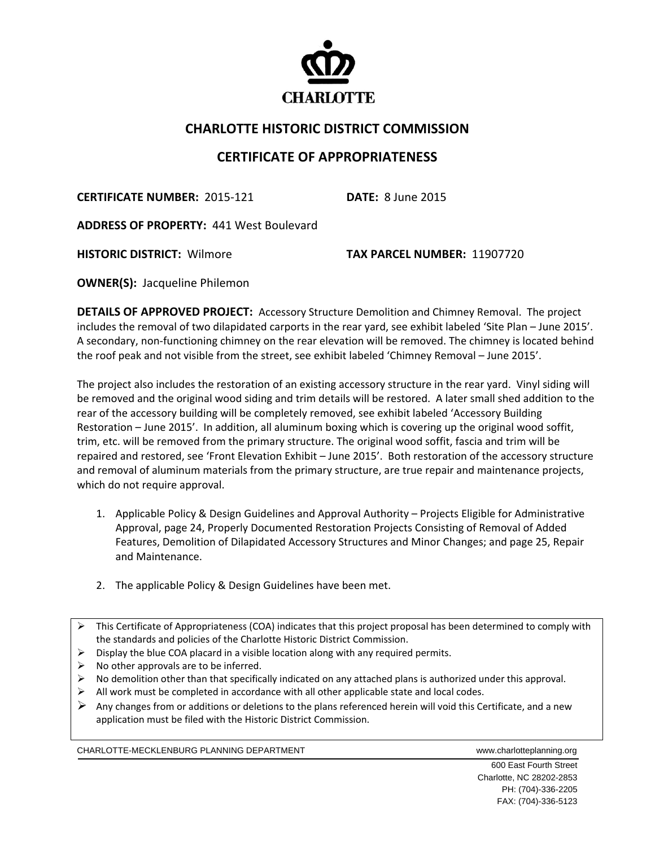

## **CHARLOTTE HISTORIC DISTRICT COMMISSION**

## **CERTIFICATE OF APPROPRIATENESS**

**CERTIFICATE NUMBER:** 2015‐121 **DATE:** 8 June 2015

**ADDRESS OF PROPERTY:** 441 West Boulevard 

**HISTORIC DISTRICT:** Wilmore  **TAX PARCEL NUMBER:** 11907720

**OWNER(S): Jacqueline Philemon** 

**DETAILS OF APPROVED PROJECT:** Accessory Structure Demolition and Chimney Removal. The project includes the removal of two dilapidated carports in the rear yard, see exhibit labeled 'Site Plan – June 2015'. A secondary, non‐functioning chimney on the rear elevation will be removed. The chimney is located behind the roof peak and not visible from the street, see exhibit labeled 'Chimney Removal – June 2015'.

The project also includes the restoration of an existing accessory structure in the rear yard. Vinyl siding will be removed and the original wood siding and trim details will be restored. A later small shed addition to the rear of the accessory building will be completely removed, see exhibit labeled 'Accessory Building Restoration – June 2015'. In addition, all aluminum boxing which is covering up the original wood soffit, trim, etc. will be removed from the primary structure. The original wood soffit, fascia and trim will be repaired and restored, see 'Front Elevation Exhibit – June 2015'. Both restoration of the accessory structure and removal of aluminum materials from the primary structure, are true repair and maintenance projects, which do not require approval.

- 1. Applicable Policy & Design Guidelines and Approval Authority Projects Eligible for Administrative Approval, page 24, Properly Documented Restoration Projects Consisting of Removal of Added Features, Demolition of Dilapidated Accessory Structures and Minor Changes; and page 25, Repair and Maintenance.
- 2. The applicable Policy & Design Guidelines have been met.
- This Certificate of Appropriateness (COA) indicates that this project proposal has been determined to comply with the standards and policies of the Charlotte Historic District Commission.
- $\triangleright$  Display the blue COA placard in a visible location along with any required permits.
- $\triangleright$  No other approvals are to be inferred.
- $\triangleright$  No demolition other than that specifically indicated on any attached plans is authorized under this approval.
- $\triangleright$  All work must be completed in accordance with all other applicable state and local codes.
- Any changes from or additions or deletions to the plans referenced herein will void this Certificate, and a new application must be filed with the Historic District Commission.

CHARLOTTE-MECKLENBURG PLANNING DEPARTMENT WWW.charlotteplanning.org

 600 East Fourth Street Charlotte, NC 28202-2853 PH: (704)-336-2205 FAX: (704)-336-5123